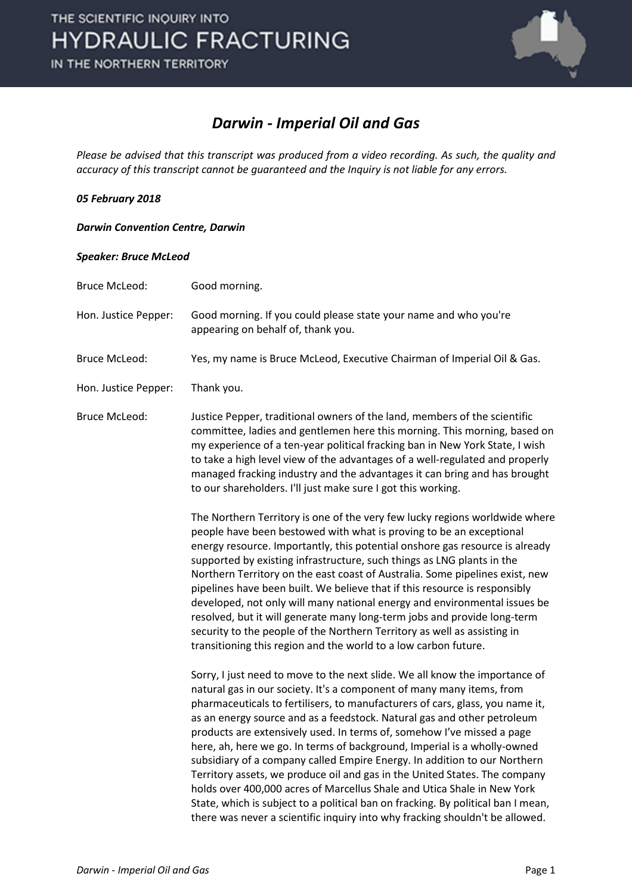

### *Darwin - Imperial Oil and Gas*

*Please be advised that this transcript was produced from a video recording. As such, the quality and accuracy of this transcript cannot be guaranteed and the Inquiry is not liable for any errors.*

### *05 February 2018*

### *Darwin Convention Centre, Darwin*

#### *Speaker: Bruce McLeod*

| <b>Bruce McLeod:</b> | Good morning.                                                                                                                                                                                                                                                                                                                                                                                                                                                                                                                                                                                                                                                                                                                                                                                                                                                                    |
|----------------------|----------------------------------------------------------------------------------------------------------------------------------------------------------------------------------------------------------------------------------------------------------------------------------------------------------------------------------------------------------------------------------------------------------------------------------------------------------------------------------------------------------------------------------------------------------------------------------------------------------------------------------------------------------------------------------------------------------------------------------------------------------------------------------------------------------------------------------------------------------------------------------|
| Hon. Justice Pepper: | Good morning. If you could please state your name and who you're<br>appearing on behalf of, thank you.                                                                                                                                                                                                                                                                                                                                                                                                                                                                                                                                                                                                                                                                                                                                                                           |
| <b>Bruce McLeod:</b> | Yes, my name is Bruce McLeod, Executive Chairman of Imperial Oil & Gas.                                                                                                                                                                                                                                                                                                                                                                                                                                                                                                                                                                                                                                                                                                                                                                                                          |
| Hon. Justice Pepper: | Thank you.                                                                                                                                                                                                                                                                                                                                                                                                                                                                                                                                                                                                                                                                                                                                                                                                                                                                       |
| <b>Bruce McLeod:</b> | Justice Pepper, traditional owners of the land, members of the scientific<br>committee, ladies and gentlemen here this morning. This morning, based on<br>my experience of a ten-year political fracking ban in New York State, I wish<br>to take a high level view of the advantages of a well-regulated and properly<br>managed fracking industry and the advantages it can bring and has brought<br>to our shareholders. I'll just make sure I got this working.                                                                                                                                                                                                                                                                                                                                                                                                              |
|                      | The Northern Territory is one of the very few lucky regions worldwide where<br>people have been bestowed with what is proving to be an exceptional<br>energy resource. Importantly, this potential onshore gas resource is already<br>supported by existing infrastructure, such things as LNG plants in the<br>Northern Territory on the east coast of Australia. Some pipelines exist, new<br>pipelines have been built. We believe that if this resource is responsibly<br>developed, not only will many national energy and environmental issues be<br>resolved, but it will generate many long-term jobs and provide long-term<br>security to the people of the Northern Territory as well as assisting in<br>transitioning this region and the world to a low carbon future.                                                                                               |
|                      | Sorry, I just need to move to the next slide. We all know the importance of<br>natural gas in our society. It's a component of many many items, from<br>pharmaceuticals to fertilisers, to manufacturers of cars, glass, you name it,<br>as an energy source and as a feedstock. Natural gas and other petroleum<br>products are extensively used. In terms of, somehow I've missed a page<br>here, ah, here we go. In terms of background, Imperial is a wholly-owned<br>subsidiary of a company called Empire Energy. In addition to our Northern<br>Territory assets, we produce oil and gas in the United States. The company<br>holds over 400,000 acres of Marcellus Shale and Utica Shale in New York<br>State, which is subject to a political ban on fracking. By political ban I mean,<br>there was never a scientific inquiry into why fracking shouldn't be allowed. |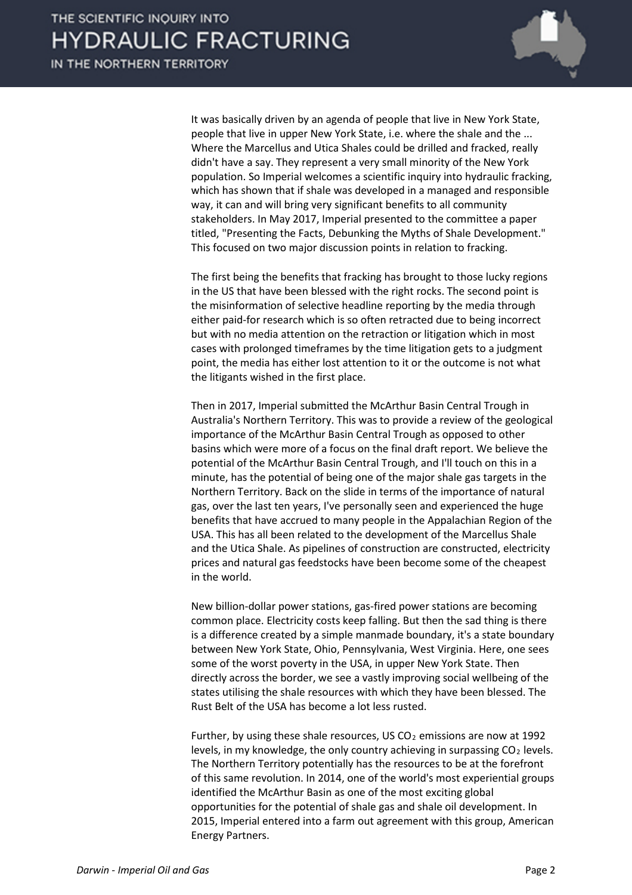

It was basically driven by an agenda of people that live in New York State, people that live in upper New York State, i.e. where the shale and the ... Where the Marcellus and Utica Shales could be drilled and fracked, really didn't have a say. They represent a very small minority of the New York population. So Imperial welcomes a scientific inquiry into hydraulic fracking, which has shown that if shale was developed in a managed and responsible way, it can and will bring very significant benefits to all community stakeholders. In May 2017, Imperial presented to the committee a paper titled, "Presenting the Facts, Debunking the Myths of Shale Development." This focused on two major discussion points in relation to fracking.

The first being the benefits that fracking has brought to those lucky regions in the US that have been blessed with the right rocks. The second point is the misinformation of selective headline reporting by the media through either paid-for research which is so often retracted due to being incorrect but with no media attention on the retraction or litigation which in most cases with prolonged timeframes by the time litigation gets to a judgment point, the media has either lost attention to it or the outcome is not what the litigants wished in the first place.

Then in 2017, Imperial submitted the McArthur Basin Central Trough in Australia's Northern Territory. This was to provide a review of the geological importance of the McArthur Basin Central Trough as opposed to other basins which were more of a focus on the final draft report. We believe the potential of the McArthur Basin Central Trough, and I'll touch on this in a minute, has the potential of being one of the major shale gas targets in the Northern Territory. Back on the slide in terms of the importance of natural gas, over the last ten years, I've personally seen and experienced the huge benefits that have accrued to many people in the Appalachian Region of the USA. This has all been related to the development of the Marcellus Shale and the Utica Shale. As pipelines of construction are constructed, electricity prices and natural gas feedstocks have been become some of the cheapest in the world.

New billion-dollar power stations, gas-fired power stations are becoming common place. Electricity costs keep falling. But then the sad thing is there is a difference created by a simple manmade boundary, it's a state boundary between New York State, Ohio, Pennsylvania, West Virginia. Here, one sees some of the worst poverty in the USA, in upper New York State. Then directly across the border, we see a vastly improving social wellbeing of the states utilising the shale resources with which they have been blessed. The Rust Belt of the USA has become a lot less rusted.

Further, by using these shale resources, US  $CO<sub>2</sub>$  emissions are now at 1992 levels, in my knowledge, the only country achieving in surpassing  $CO<sub>2</sub>$  levels. The Northern Territory potentially has the resources to be at the forefront of this same revolution. In 2014, one of the world's most experiential groups identified the McArthur Basin as one of the most exciting global opportunities for the potential of shale gas and shale oil development. In 2015, Imperial entered into a farm out agreement with this group, American Energy Partners.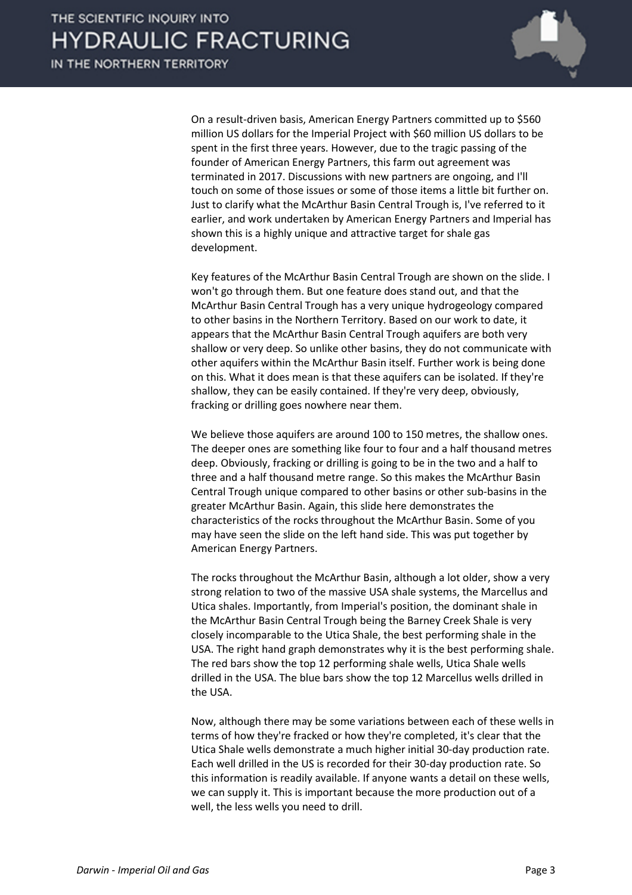

On a result-driven basis, American Energy Partners committed up to \$560 million US dollars for the Imperial Project with \$60 million US dollars to be spent in the first three years. However, due to the tragic passing of the founder of American Energy Partners, this farm out agreement was terminated in 2017. Discussions with new partners are ongoing, and I'll touch on some of those issues or some of those items a little bit further on. Just to clarify what the McArthur Basin Central Trough is, I've referred to it earlier, and work undertaken by American Energy Partners and Imperial has shown this is a highly unique and attractive target for shale gas development.

Key features of the McArthur Basin Central Trough are shown on the slide. I won't go through them. But one feature does stand out, and that the McArthur Basin Central Trough has a very unique hydrogeology compared to other basins in the Northern Territory. Based on our work to date, it appears that the McArthur Basin Central Trough aquifers are both very shallow or very deep. So unlike other basins, they do not communicate with other aquifers within the McArthur Basin itself. Further work is being done on this. What it does mean is that these aquifers can be isolated. If they're shallow, they can be easily contained. If they're very deep, obviously, fracking or drilling goes nowhere near them.

We believe those aquifers are around 100 to 150 metres, the shallow ones. The deeper ones are something like four to four and a half thousand metres deep. Obviously, fracking or drilling is going to be in the two and a half to three and a half thousand metre range. So this makes the McArthur Basin Central Trough unique compared to other basins or other sub-basins in the greater McArthur Basin. Again, this slide here demonstrates the characteristics of the rocks throughout the McArthur Basin. Some of you may have seen the slide on the left hand side. This was put together by American Energy Partners.

The rocks throughout the McArthur Basin, although a lot older, show a very strong relation to two of the massive USA shale systems, the Marcellus and Utica shales. Importantly, from Imperial's position, the dominant shale in the McArthur Basin Central Trough being the Barney Creek Shale is very closely incomparable to the Utica Shale, the best performing shale in the USA. The right hand graph demonstrates why it is the best performing shale. The red bars show the top 12 performing shale wells, Utica Shale wells drilled in the USA. The blue bars show the top 12 Marcellus wells drilled in the USA.

Now, although there may be some variations between each of these wells in terms of how they're fracked or how they're completed, it's clear that the Utica Shale wells demonstrate a much higher initial 30-day production rate. Each well drilled in the US is recorded for their 30-day production rate. So this information is readily available. If anyone wants a detail on these wells, we can supply it. This is important because the more production out of a well, the less wells you need to drill.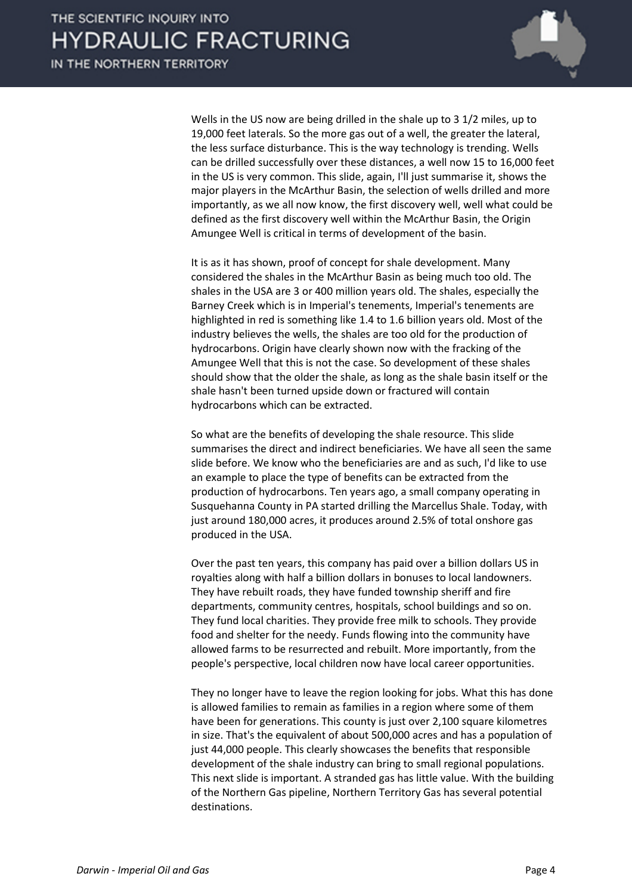

Wells in the US now are being drilled in the shale up to 3 1/2 miles, up to 19,000 feet laterals. So the more gas out of a well, the greater the lateral, the less surface disturbance. This is the way technology is trending. Wells can be drilled successfully over these distances, a well now 15 to 16,000 feet in the US is very common. This slide, again, I'll just summarise it, shows the major players in the McArthur Basin, the selection of wells drilled and more importantly, as we all now know, the first discovery well, well what could be defined as the first discovery well within the McArthur Basin, the Origin Amungee Well is critical in terms of development of the basin.

It is as it has shown, proof of concept for shale development. Many considered the shales in the McArthur Basin as being much too old. The shales in the USA are 3 or 400 million years old. The shales, especially the Barney Creek which is in Imperial's tenements, Imperial's tenements are highlighted in red is something like 1.4 to 1.6 billion years old. Most of the industry believes the wells, the shales are too old for the production of hydrocarbons. Origin have clearly shown now with the fracking of the Amungee Well that this is not the case. So development of these shales should show that the older the shale, as long as the shale basin itself or the shale hasn't been turned upside down or fractured will contain hydrocarbons which can be extracted.

So what are the benefits of developing the shale resource. This slide summarises the direct and indirect beneficiaries. We have all seen the same slide before. We know who the beneficiaries are and as such, I'd like to use an example to place the type of benefits can be extracted from the production of hydrocarbons. Ten years ago, a small company operating in Susquehanna County in PA started drilling the Marcellus Shale. Today, with just around 180,000 acres, it produces around 2.5% of total onshore gas produced in the USA.

Over the past ten years, this company has paid over a billion dollars US in royalties along with half a billion dollars in bonuses to local landowners. They have rebuilt roads, they have funded township sheriff and fire departments, community centres, hospitals, school buildings and so on. They fund local charities. They provide free milk to schools. They provide food and shelter for the needy. Funds flowing into the community have allowed farms to be resurrected and rebuilt. More importantly, from the people's perspective, local children now have local career opportunities.

They no longer have to leave the region looking for jobs. What this has done is allowed families to remain as families in a region where some of them have been for generations. This county is just over 2,100 square kilometres in size. That's the equivalent of about 500,000 acres and has a population of just 44,000 people. This clearly showcases the benefits that responsible development of the shale industry can bring to small regional populations. This next slide is important. A stranded gas has little value. With the building of the Northern Gas pipeline, Northern Territory Gas has several potential destinations.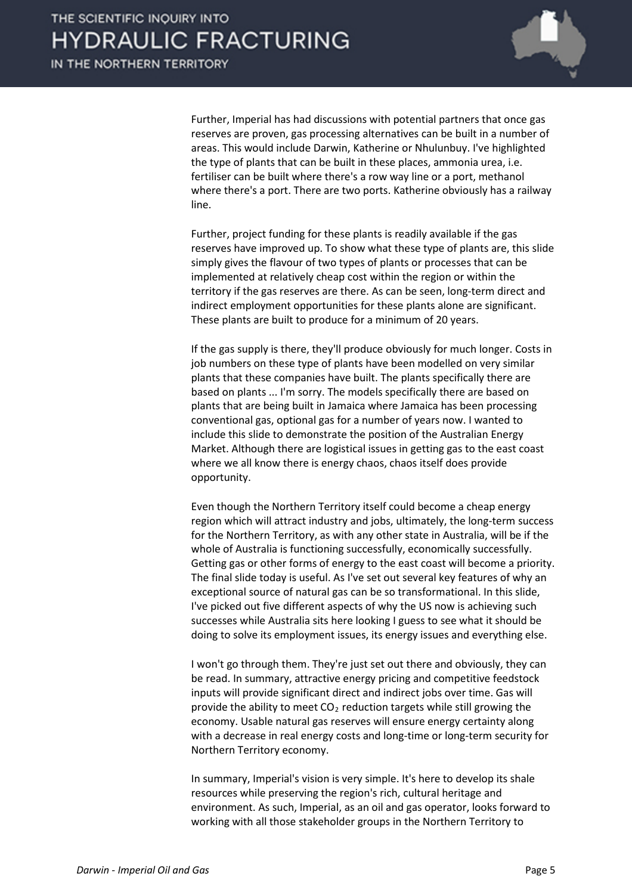

Further, Imperial has had discussions with potential partners that once gas reserves are proven, gas processing alternatives can be built in a number of areas. This would include Darwin, Katherine or Nhulunbuy. I've highlighted the type of plants that can be built in these places, ammonia urea, i.e. fertiliser can be built where there's a row way line or a port, methanol where there's a port. There are two ports. Katherine obviously has a railway line.

Further, project funding for these plants is readily available if the gas reserves have improved up. To show what these type of plants are, this slide simply gives the flavour of two types of plants or processes that can be implemented at relatively cheap cost within the region or within the territory if the gas reserves are there. As can be seen, long-term direct and indirect employment opportunities for these plants alone are significant. These plants are built to produce for a minimum of 20 years.

If the gas supply is there, they'll produce obviously for much longer. Costs in job numbers on these type of plants have been modelled on very similar plants that these companies have built. The plants specifically there are based on plants ... I'm sorry. The models specifically there are based on plants that are being built in Jamaica where Jamaica has been processing conventional gas, optional gas for a number of years now. I wanted to include this slide to demonstrate the position of the Australian Energy Market. Although there are logistical issues in getting gas to the east coast where we all know there is energy chaos, chaos itself does provide opportunity.

Even though the Northern Territory itself could become a cheap energy region which will attract industry and jobs, ultimately, the long-term success for the Northern Territory, as with any other state in Australia, will be if the whole of Australia is functioning successfully, economically successfully. Getting gas or other forms of energy to the east coast will become a priority. The final slide today is useful. As I've set out several key features of why an exceptional source of natural gas can be so transformational. In this slide, I've picked out five different aspects of why the US now is achieving such successes while Australia sits here looking I guess to see what it should be doing to solve its employment issues, its energy issues and everything else.

I won't go through them. They're just set out there and obviously, they can be read. In summary, attractive energy pricing and competitive feedstock inputs will provide significant direct and indirect jobs over time. Gas will provide the ability to meet  $CO<sub>2</sub>$  reduction targets while still growing the economy. Usable natural gas reserves will ensure energy certainty along with a decrease in real energy costs and long-time or long-term security for Northern Territory economy.

In summary, Imperial's vision is very simple. It's here to develop its shale resources while preserving the region's rich, cultural heritage and environment. As such, Imperial, as an oil and gas operator, looks forward to working with all those stakeholder groups in the Northern Territory to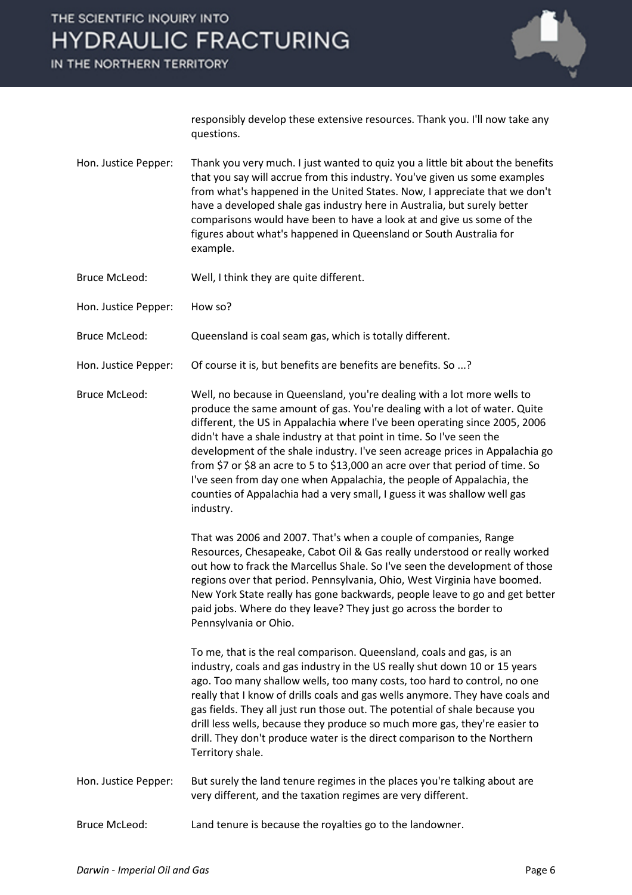IN THE NORTHERN TERRITORY



responsibly develop these extensive resources. Thank you. I'll now take any questions.

- Hon. Justice Pepper: Thank you very much. I just wanted to quiz you a little bit about the benefits that you say will accrue from this industry. You've given us some examples from what's happened in the United States. Now, I appreciate that we don't have a developed shale gas industry here in Australia, but surely better comparisons would have been to have a look at and give us some of the figures about what's happened in Queensland or South Australia for example.
- Bruce McLeod: Well, I think they are quite different.
- Hon. Justice Pepper: How so?
- Bruce McLeod: Queensland is coal seam gas, which is totally different.
- Hon. Justice Pepper: Of course it is, but benefits are benefits are benefits. So ...?

Bruce McLeod: Well, no because in Queensland, you're dealing with a lot more wells to produce the same amount of gas. You're dealing with a lot of water. Quite different, the US in Appalachia where I've been operating since 2005, 2006 didn't have a shale industry at that point in time. So I've seen the development of the shale industry. I've seen acreage prices in Appalachia go from \$7 or \$8 an acre to 5 to \$13,000 an acre over that period of time. So I've seen from day one when Appalachia, the people of Appalachia, the counties of Appalachia had a very small, I guess it was shallow well gas industry.

> That was 2006 and 2007. That's when a couple of companies, Range Resources, Chesapeake, Cabot Oil & Gas really understood or really worked out how to frack the Marcellus Shale. So I've seen the development of those regions over that period. Pennsylvania, Ohio, West Virginia have boomed. New York State really has gone backwards, people leave to go and get better paid jobs. Where do they leave? They just go across the border to Pennsylvania or Ohio.

To me, that is the real comparison. Queensland, coals and gas, is an industry, coals and gas industry in the US really shut down 10 or 15 years ago. Too many shallow wells, too many costs, too hard to control, no one really that I know of drills coals and gas wells anymore. They have coals and gas fields. They all just run those out. The potential of shale because you drill less wells, because they produce so much more gas, they're easier to drill. They don't produce water is the direct comparison to the Northern Territory shale.

- Hon. Justice Pepper: But surely the land tenure regimes in the places you're talking about are very different, and the taxation regimes are very different.
- Bruce McLeod: Land tenure is because the royalties go to the landowner.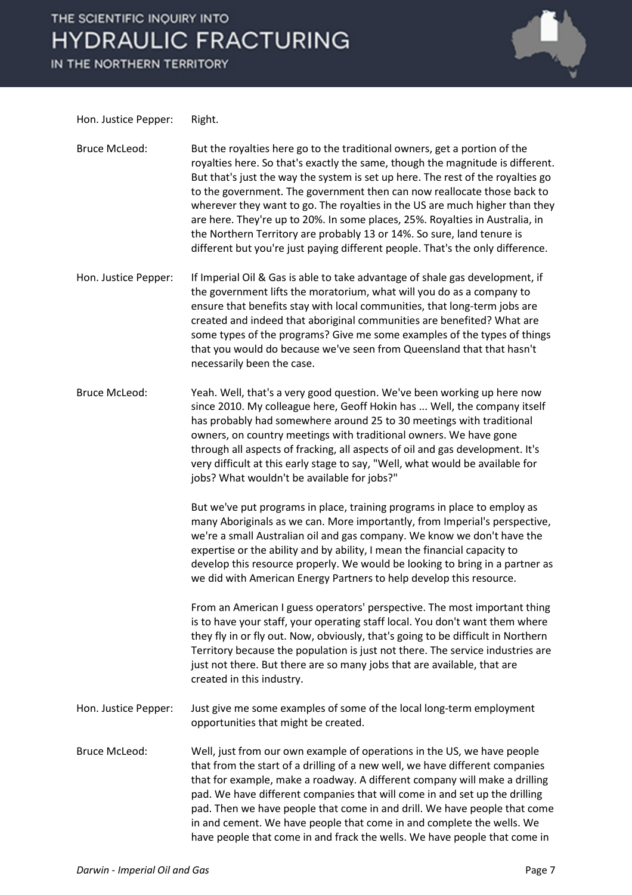IN THE NORTHERN TERRITORY



Hon. Justice Pepper: Right.

Bruce McLeod: But the royalties here go to the traditional owners, get a portion of the royalties here. So that's exactly the same, though the magnitude is different. But that's just the way the system is set up here. The rest of the royalties go to the government. The government then can now reallocate those back to wherever they want to go. The royalties in the US are much higher than they are here. They're up to 20%. In some places, 25%. Royalties in Australia, in the Northern Territory are probably 13 or 14%. So sure, land tenure is different but you're just paying different people. That's the only difference.

Hon. Justice Pepper: If Imperial Oil & Gas is able to take advantage of shale gas development, if the government lifts the moratorium, what will you do as a company to ensure that benefits stay with local communities, that long-term jobs are created and indeed that aboriginal communities are benefited? What are some types of the programs? Give me some examples of the types of things that you would do because we've seen from Queensland that that hasn't necessarily been the case.

Bruce McLeod: Yeah. Well, that's a very good question. We've been working up here now since 2010. My colleague here, Geoff Hokin has ... Well, the company itself has probably had somewhere around 25 to 30 meetings with traditional owners, on country meetings with traditional owners. We have gone through all aspects of fracking, all aspects of oil and gas development. It's very difficult at this early stage to say, "Well, what would be available for jobs? What wouldn't be available for jobs?"

> But we've put programs in place, training programs in place to employ as many Aboriginals as we can. More importantly, from Imperial's perspective, we're a small Australian oil and gas company. We know we don't have the expertise or the ability and by ability, I mean the financial capacity to develop this resource properly. We would be looking to bring in a partner as we did with American Energy Partners to help develop this resource.

> From an American I guess operators' perspective. The most important thing is to have your staff, your operating staff local. You don't want them where they fly in or fly out. Now, obviously, that's going to be difficult in Northern Territory because the population is just not there. The service industries are just not there. But there are so many jobs that are available, that are created in this industry.

Hon. Justice Pepper: Just give me some examples of some of the local long-term employment opportunities that might be created.

Bruce McLeod: Well, just from our own example of operations in the US, we have people that from the start of a drilling of a new well, we have different companies that for example, make a roadway. A different company will make a drilling pad. We have different companies that will come in and set up the drilling pad. Then we have people that come in and drill. We have people that come in and cement. We have people that come in and complete the wells. We have people that come in and frack the wells. We have people that come in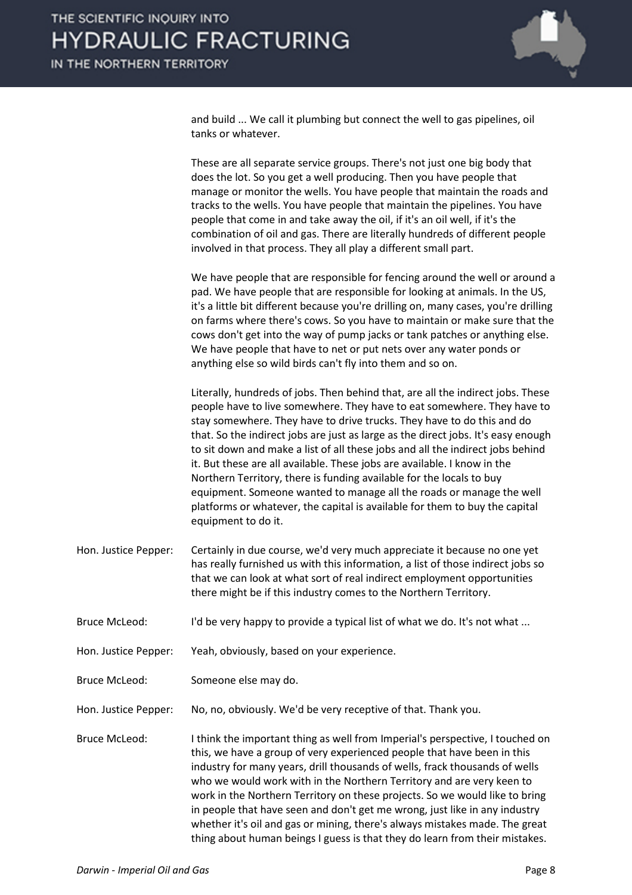

and build ... We call it plumbing but connect the well to gas pipelines, oil tanks or whatever.

These are all separate service groups. There's not just one big body that does the lot. So you get a well producing. Then you have people that manage or monitor the wells. You have people that maintain the roads and tracks to the wells. You have people that maintain the pipelines. You have people that come in and take away the oil, if it's an oil well, if it's the combination of oil and gas. There are literally hundreds of different people involved in that process. They all play a different small part.

We have people that are responsible for fencing around the well or around a pad. We have people that are responsible for looking at animals. In the US, it's a little bit different because you're drilling on, many cases, you're drilling on farms where there's cows. So you have to maintain or make sure that the cows don't get into the way of pump jacks or tank patches or anything else. We have people that have to net or put nets over any water ponds or anything else so wild birds can't fly into them and so on.

Literally, hundreds of jobs. Then behind that, are all the indirect jobs. These people have to live somewhere. They have to eat somewhere. They have to stay somewhere. They have to drive trucks. They have to do this and do that. So the indirect jobs are just as large as the direct jobs. It's easy enough to sit down and make a list of all these jobs and all the indirect jobs behind it. But these are all available. These jobs are available. I know in the Northern Territory, there is funding available for the locals to buy equipment. Someone wanted to manage all the roads or manage the well platforms or whatever, the capital is available for them to buy the capital equipment to do it.

- Hon. Justice Pepper: Certainly in due course, we'd very much appreciate it because no one yet has really furnished us with this information, a list of those indirect jobs so that we can look at what sort of real indirect employment opportunities there might be if this industry comes to the Northern Territory.
- Bruce McLeod: I'd be very happy to provide a typical list of what we do. It's not what ...
- Hon. Justice Pepper: Yeah, obviously, based on your experience.
- Bruce McLeod: Someone else may do.

Hon. Justice Pepper: No, no, obviously. We'd be very receptive of that. Thank you.

Bruce McLeod: I think the important thing as well from Imperial's perspective, I touched on this, we have a group of very experienced people that have been in this industry for many years, drill thousands of wells, frack thousands of wells who we would work with in the Northern Territory and are very keen to work in the Northern Territory on these projects. So we would like to bring in people that have seen and don't get me wrong, just like in any industry whether it's oil and gas or mining, there's always mistakes made. The great thing about human beings I guess is that they do learn from their mistakes.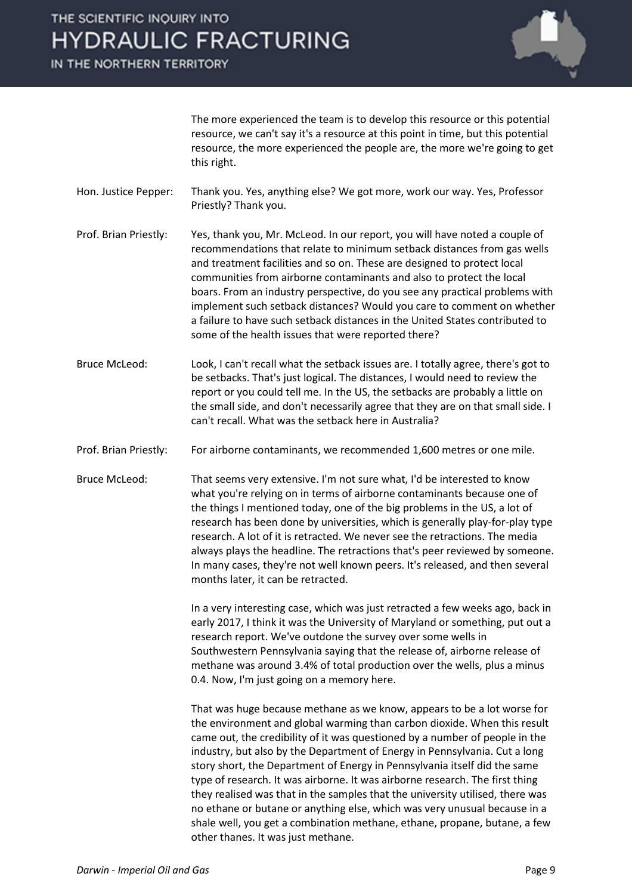IN THE NORTHERN TERRITORY



The more experienced the team is to develop this resource or this potential resource, we can't say it's a resource at this point in time, but this potential resource, the more experienced the people are, the more we're going to get this right.

Hon. Justice Pepper: Thank you. Yes, anything else? We got more, work our way. Yes, Professor Priestly? Thank you.

Prof. Brian Priestly: Yes, thank you, Mr. McLeod. In our report, you will have noted a couple of recommendations that relate to minimum setback distances from gas wells and treatment facilities and so on. These are designed to protect local communities from airborne contaminants and also to protect the local boars. From an industry perspective, do you see any practical problems with implement such setback distances? Would you care to comment on whether a failure to have such setback distances in the United States contributed to some of the health issues that were reported there?

- Bruce McLeod: Look, I can't recall what the setback issues are. I totally agree, there's got to be setbacks. That's just logical. The distances, I would need to review the report or you could tell me. In the US, the setbacks are probably a little on the small side, and don't necessarily agree that they are on that small side. I can't recall. What was the setback here in Australia?
- Prof. Brian Priestly: For airborne contaminants, we recommended 1,600 metres or one mile.
- Bruce McLeod: That seems very extensive. I'm not sure what, I'd be interested to know what you're relying on in terms of airborne contaminants because one of the things I mentioned today, one of the big problems in the US, a lot of research has been done by universities, which is generally play-for-play type research. A lot of it is retracted. We never see the retractions. The media always plays the headline. The retractions that's peer reviewed by someone. In many cases, they're not well known peers. It's released, and then several months later, it can be retracted.

In a very interesting case, which was just retracted a few weeks ago, back in early 2017, I think it was the University of Maryland or something, put out a research report. We've outdone the survey over some wells in Southwestern Pennsylvania saying that the release of, airborne release of methane was around 3.4% of total production over the wells, plus a minus 0.4. Now, I'm just going on a memory here.

That was huge because methane as we know, appears to be a lot worse for the environment and global warming than carbon dioxide. When this result came out, the credibility of it was questioned by a number of people in the industry, but also by the Department of Energy in Pennsylvania. Cut a long story short, the Department of Energy in Pennsylvania itself did the same type of research. It was airborne. It was airborne research. The first thing they realised was that in the samples that the university utilised, there was no ethane or butane or anything else, which was very unusual because in a shale well, you get a combination methane, ethane, propane, butane, a few other thanes. It was just methane.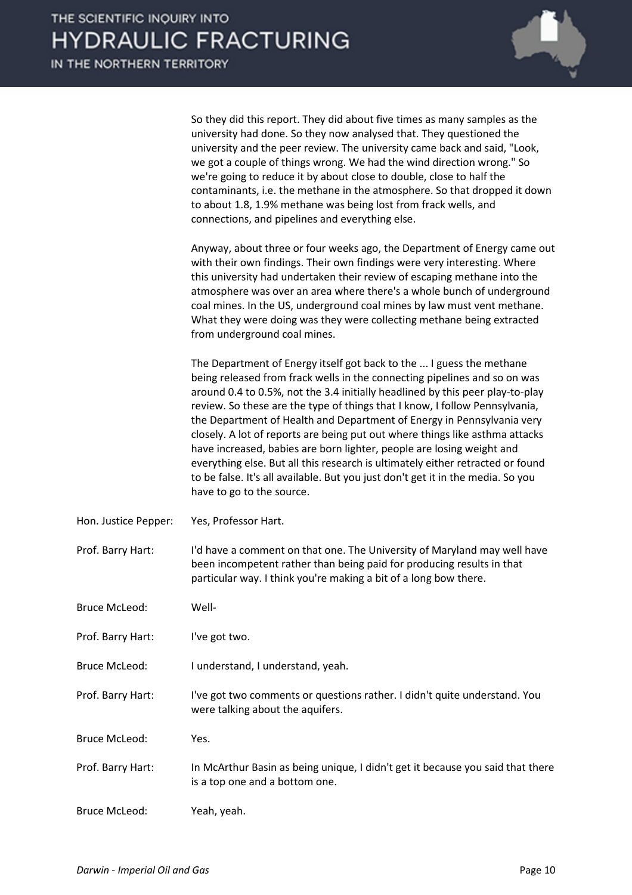

|                      | So they did this report. They did about five times as many samples as the<br>university had done. So they now analysed that. They questioned the<br>university and the peer review. The university came back and said, "Look,<br>we got a couple of things wrong. We had the wind direction wrong." So<br>we're going to reduce it by about close to double, close to half the<br>contaminants, i.e. the methane in the atmosphere. So that dropped it down<br>to about 1.8, 1.9% methane was being lost from frack wells, and<br>connections, and pipelines and everything else.                                                                                                                                                                      |
|----------------------|--------------------------------------------------------------------------------------------------------------------------------------------------------------------------------------------------------------------------------------------------------------------------------------------------------------------------------------------------------------------------------------------------------------------------------------------------------------------------------------------------------------------------------------------------------------------------------------------------------------------------------------------------------------------------------------------------------------------------------------------------------|
|                      | Anyway, about three or four weeks ago, the Department of Energy came out<br>with their own findings. Their own findings were very interesting. Where<br>this university had undertaken their review of escaping methane into the<br>atmosphere was over an area where there's a whole bunch of underground<br>coal mines. In the US, underground coal mines by law must vent methane.<br>What they were doing was they were collecting methane being extracted<br>from underground coal mines.                                                                                                                                                                                                                                                         |
|                      | The Department of Energy itself got back to the  I guess the methane<br>being released from frack wells in the connecting pipelines and so on was<br>around 0.4 to 0.5%, not the 3.4 initially headlined by this peer play-to-play<br>review. So these are the type of things that I know, I follow Pennsylvania,<br>the Department of Health and Department of Energy in Pennsylvania very<br>closely. A lot of reports are being put out where things like asthma attacks<br>have increased, babies are born lighter, people are losing weight and<br>everything else. But all this research is ultimately either retracted or found<br>to be false. It's all available. But you just don't get it in the media. So you<br>have to go to the source. |
| Hon. Justice Pepper: | Yes, Professor Hart.                                                                                                                                                                                                                                                                                                                                                                                                                                                                                                                                                                                                                                                                                                                                   |
| Prof. Barry Hart:    | I'd have a comment on that one. The University of Maryland may well have<br>been incompetent rather than being paid for producing results in that<br>particular way. I think you're making a bit of a long bow there.                                                                                                                                                                                                                                                                                                                                                                                                                                                                                                                                  |
| <b>Bruce McLeod:</b> | Well-                                                                                                                                                                                                                                                                                                                                                                                                                                                                                                                                                                                                                                                                                                                                                  |
| Prof. Barry Hart:    | I've got two.                                                                                                                                                                                                                                                                                                                                                                                                                                                                                                                                                                                                                                                                                                                                          |
| <b>Bruce McLeod:</b> | I understand, I understand, yeah.                                                                                                                                                                                                                                                                                                                                                                                                                                                                                                                                                                                                                                                                                                                      |
| Prof. Barry Hart:    | I've got two comments or questions rather. I didn't quite understand. You<br>were talking about the aquifers.                                                                                                                                                                                                                                                                                                                                                                                                                                                                                                                                                                                                                                          |
| <b>Bruce McLeod:</b> | Yes.                                                                                                                                                                                                                                                                                                                                                                                                                                                                                                                                                                                                                                                                                                                                                   |
| Prof. Barry Hart:    | In McArthur Basin as being unique, I didn't get it because you said that there<br>is a top one and a bottom one.                                                                                                                                                                                                                                                                                                                                                                                                                                                                                                                                                                                                                                       |
| <b>Bruce McLeod:</b> | Yeah, yeah.                                                                                                                                                                                                                                                                                                                                                                                                                                                                                                                                                                                                                                                                                                                                            |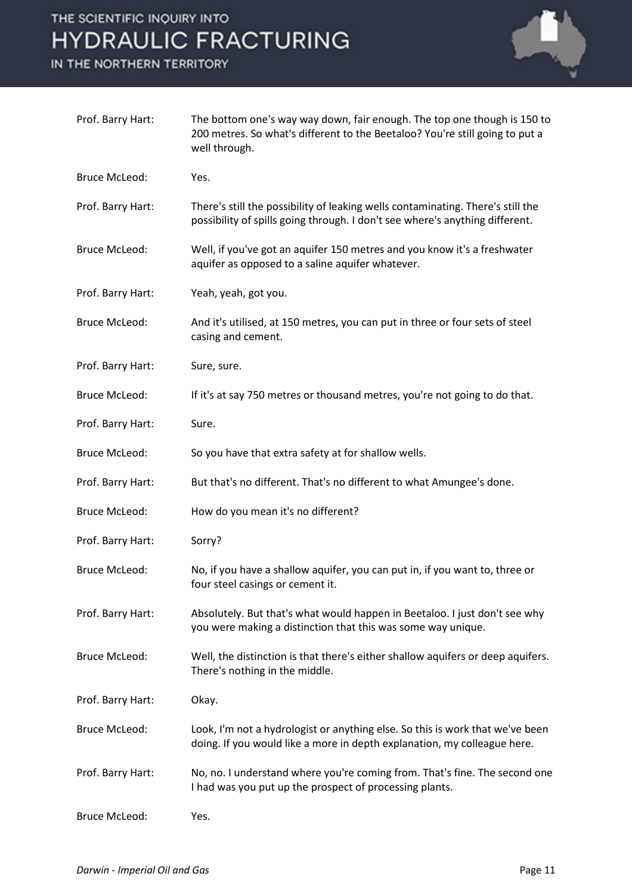IN THE NORTHERN TERRITORY



| Prof. Barry Hart:    | The bottom one's way way down, fair enough. The top one though is 150 to<br>200 metres. So what's different to the Beetaloo? You're still going to put a<br>well through. |
|----------------------|---------------------------------------------------------------------------------------------------------------------------------------------------------------------------|
| <b>Bruce McLeod:</b> | Yes.                                                                                                                                                                      |
| Prof. Barry Hart:    | There's still the possibility of leaking wells contaminating. There's still the<br>possibility of spills going through. I don't see where's anything different.           |
| <b>Bruce McLeod:</b> | Well, if you've got an aquifer 150 metres and you know it's a freshwater<br>aquifer as opposed to a saline aquifer whatever.                                              |
| Prof. Barry Hart:    | Yeah, yeah, got you.                                                                                                                                                      |
| <b>Bruce McLeod:</b> | And it's utilised, at 150 metres, you can put in three or four sets of steel<br>casing and cement.                                                                        |
| Prof. Barry Hart:    | Sure, sure.                                                                                                                                                               |
| <b>Bruce McLeod:</b> | If it's at say 750 metres or thousand metres, you're not going to do that.                                                                                                |
| Prof. Barry Hart:    | Sure.                                                                                                                                                                     |
| <b>Bruce McLeod:</b> | So you have that extra safety at for shallow wells.                                                                                                                       |
| Prof. Barry Hart:    | But that's no different. That's no different to what Amungee's done.                                                                                                      |
| <b>Bruce McLeod:</b> | How do you mean it's no different?                                                                                                                                        |
| Prof. Barry Hart:    | Sorry?                                                                                                                                                                    |
| <b>Bruce McLeod:</b> | No, if you have a shallow aquifer, you can put in, if you want to, three or<br>four steel casings or cement it.                                                           |
| Prof. Barry Hart:    | Absolutely. But that's what would happen in Beetaloo. I just don't see why<br>you were making a distinction that this was some way unique.                                |
| <b>Bruce McLeod:</b> | Well, the distinction is that there's either shallow aquifers or deep aquifers.<br>There's nothing in the middle.                                                         |
| Prof. Barry Hart:    | Okay.                                                                                                                                                                     |
| <b>Bruce McLeod:</b> | Look, I'm not a hydrologist or anything else. So this is work that we've been<br>doing. If you would like a more in depth explanation, my colleague here.                 |
| Prof. Barry Hart:    | No, no. I understand where you're coming from. That's fine. The second one<br>I had was you put up the prospect of processing plants.                                     |
| <b>Bruce McLeod:</b> | Yes.                                                                                                                                                                      |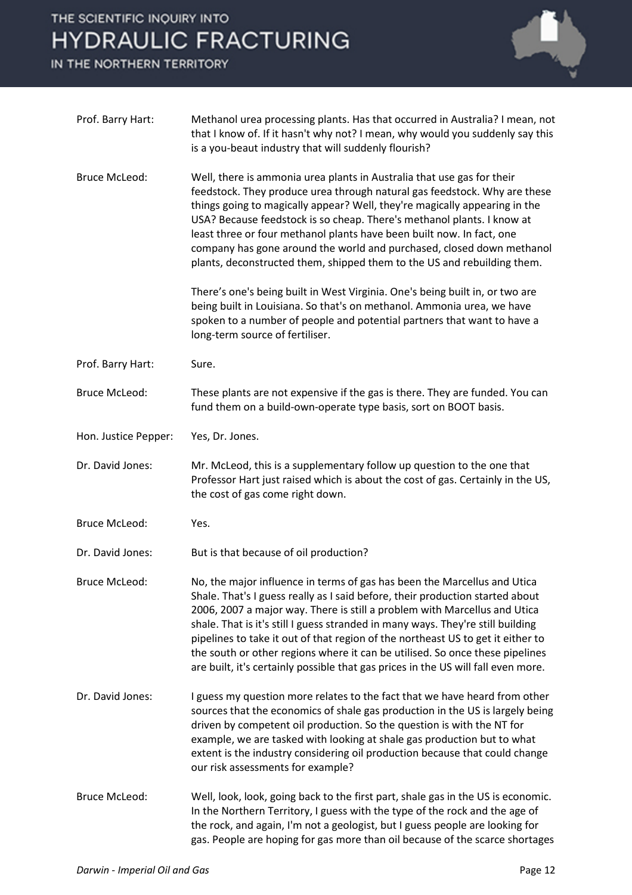IN THE NORTHERN TERRITORY



| Prof. Barry Hart:    | Methanol urea processing plants. Has that occurred in Australia? I mean, not<br>that I know of. If it hasn't why not? I mean, why would you suddenly say this<br>is a you-beaut industry that will suddenly flourish?                                                                                                                                                                                                                                                                                                                                                             |
|----------------------|-----------------------------------------------------------------------------------------------------------------------------------------------------------------------------------------------------------------------------------------------------------------------------------------------------------------------------------------------------------------------------------------------------------------------------------------------------------------------------------------------------------------------------------------------------------------------------------|
| <b>Bruce McLeod:</b> | Well, there is ammonia urea plants in Australia that use gas for their<br>feedstock. They produce urea through natural gas feedstock. Why are these<br>things going to magically appear? Well, they're magically appearing in the<br>USA? Because feedstock is so cheap. There's methanol plants. I know at<br>least three or four methanol plants have been built now. In fact, one<br>company has gone around the world and purchased, closed down methanol<br>plants, deconstructed them, shipped them to the US and rebuilding them.                                          |
|                      | There's one's being built in West Virginia. One's being built in, or two are<br>being built in Louisiana. So that's on methanol. Ammonia urea, we have<br>spoken to a number of people and potential partners that want to have a<br>long-term source of fertiliser.                                                                                                                                                                                                                                                                                                              |
| Prof. Barry Hart:    | Sure.                                                                                                                                                                                                                                                                                                                                                                                                                                                                                                                                                                             |
| <b>Bruce McLeod:</b> | These plants are not expensive if the gas is there. They are funded. You can<br>fund them on a build-own-operate type basis, sort on BOOT basis.                                                                                                                                                                                                                                                                                                                                                                                                                                  |
| Hon. Justice Pepper: | Yes, Dr. Jones.                                                                                                                                                                                                                                                                                                                                                                                                                                                                                                                                                                   |
| Dr. David Jones:     | Mr. McLeod, this is a supplementary follow up question to the one that<br>Professor Hart just raised which is about the cost of gas. Certainly in the US,<br>the cost of gas come right down.                                                                                                                                                                                                                                                                                                                                                                                     |
| <b>Bruce McLeod:</b> | Yes.                                                                                                                                                                                                                                                                                                                                                                                                                                                                                                                                                                              |
| Dr. David Jones:     | But is that because of oil production?                                                                                                                                                                                                                                                                                                                                                                                                                                                                                                                                            |
| <b>Bruce McLeod:</b> | No, the major influence in terms of gas has been the Marcellus and Utica<br>Shale. That's I guess really as I said before, their production started about<br>2006, 2007 a major way. There is still a problem with Marcellus and Utica<br>shale. That is it's still I guess stranded in many ways. They're still building<br>pipelines to take it out of that region of the northeast US to get it either to<br>the south or other regions where it can be utilised. So once these pipelines<br>are built, it's certainly possible that gas prices in the US will fall even more. |
| Dr. David Jones:     | I guess my question more relates to the fact that we have heard from other<br>sources that the economics of shale gas production in the US is largely being<br>driven by competent oil production. So the question is with the NT for<br>example, we are tasked with looking at shale gas production but to what<br>extent is the industry considering oil production because that could change<br>our risk assessments for example?                                                                                                                                              |
| <b>Bruce McLeod:</b> | Well, look, look, going back to the first part, shale gas in the US is economic.<br>In the Northern Territory, I guess with the type of the rock and the age of<br>the rock, and again, I'm not a geologist, but I guess people are looking for<br>gas. People are hoping for gas more than oil because of the scarce shortages                                                                                                                                                                                                                                                   |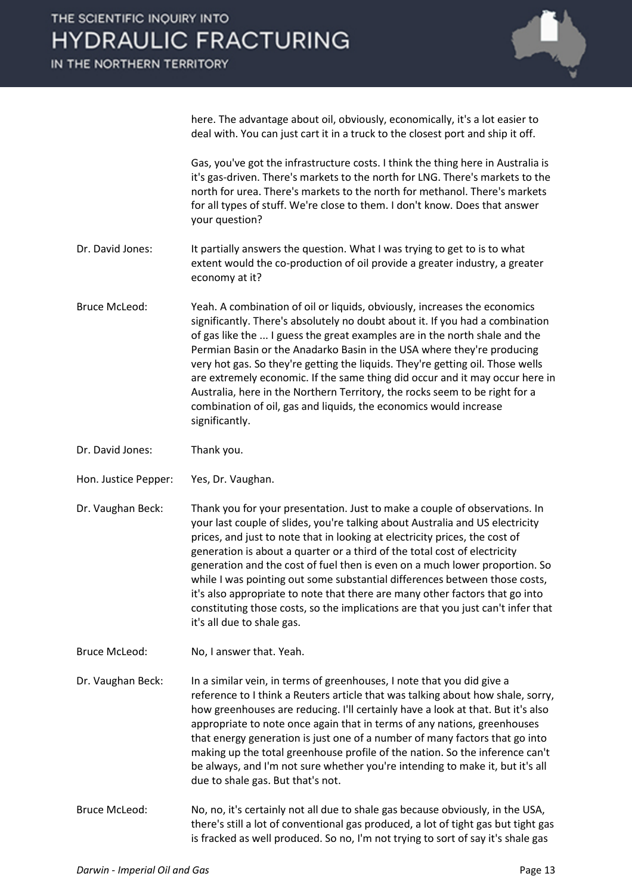IN THE NORTHERN TERRITORY



here. The advantage about oil, obviously, economically, it's a lot easier to deal with. You can just cart it in a truck to the closest port and ship it off.

Gas, you've got the infrastructure costs. I think the thing here in Australia is it's gas-driven. There's markets to the north for LNG. There's markets to the north for urea. There's markets to the north for methanol. There's markets for all types of stuff. We're close to them. I don't know. Does that answer your question?

- Dr. David Jones: It partially answers the question. What I was trying to get to is to what extent would the co-production of oil provide a greater industry, a greater economy at it?
- Bruce McLeod: Yeah. A combination of oil or liquids, obviously, increases the economics significantly. There's absolutely no doubt about it. If you had a combination of gas like the ... I guess the great examples are in the north shale and the Permian Basin or the Anadarko Basin in the USA where they're producing very hot gas. So they're getting the liquids. They're getting oil. Those wells are extremely economic. If the same thing did occur and it may occur here in Australia, here in the Northern Territory, the rocks seem to be right for a combination of oil, gas and liquids, the economics would increase significantly.
- Dr. David Jones: Thank you.
- Hon. Justice Pepper: Yes, Dr. Vaughan.
- Dr. Vaughan Beck: Thank you for your presentation. Just to make a couple of observations. In your last couple of slides, you're talking about Australia and US electricity prices, and just to note that in looking at electricity prices, the cost of generation is about a quarter or a third of the total cost of electricity generation and the cost of fuel then is even on a much lower proportion. So while I was pointing out some substantial differences between those costs, it's also appropriate to note that there are many other factors that go into constituting those costs, so the implications are that you just can't infer that it's all due to shale gas.
- Bruce McLeod: No, I answer that. Yeah.
- Dr. Vaughan Beck: In a similar vein, in terms of greenhouses, I note that you did give a reference to I think a Reuters article that was talking about how shale, sorry, how greenhouses are reducing. I'll certainly have a look at that. But it's also appropriate to note once again that in terms of any nations, greenhouses that energy generation is just one of a number of many factors that go into making up the total greenhouse profile of the nation. So the inference can't be always, and I'm not sure whether you're intending to make it, but it's all due to shale gas. But that's not.
- Bruce McLeod: No, no, it's certainly not all due to shale gas because obviously, in the USA, there's still a lot of conventional gas produced, a lot of tight gas but tight gas is fracked as well produced. So no, I'm not trying to sort of say it's shale gas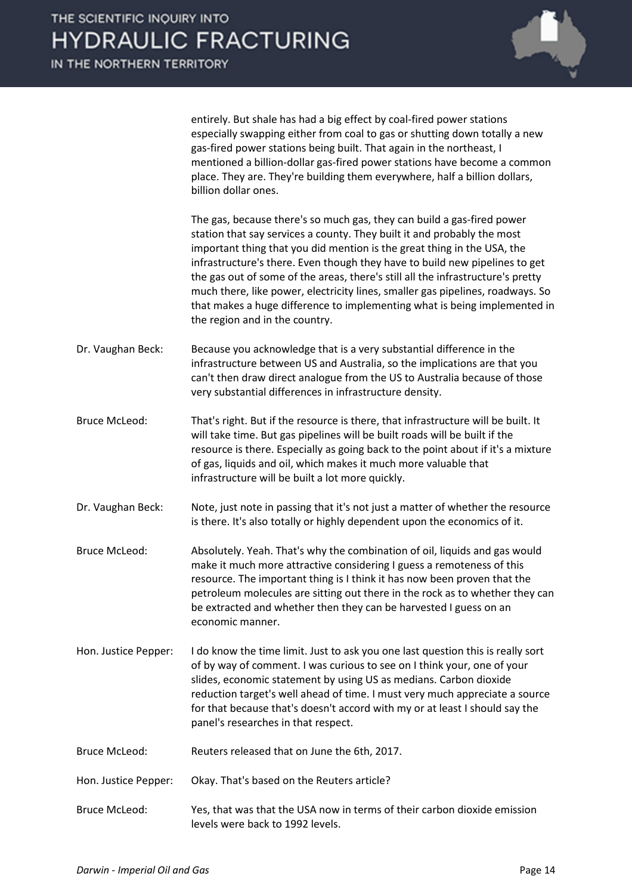IN THE NORTHERN TERRITORY



entirely. But shale has had a big effect by coal-fired power stations especially swapping either from coal to gas or shutting down totally a new gas-fired power stations being built. That again in the northeast, I mentioned a billion-dollar gas-fired power stations have become a common place. They are. They're building them everywhere, half a billion dollars, billion dollar ones.

The gas, because there's so much gas, they can build a gas-fired power station that say services a county. They built it and probably the most important thing that you did mention is the great thing in the USA, the infrastructure's there. Even though they have to build new pipelines to get the gas out of some of the areas, there's still all the infrastructure's pretty much there, like power, electricity lines, smaller gas pipelines, roadways. So that makes a huge difference to implementing what is being implemented in the region and in the country.

- Dr. Vaughan Beck: Because you acknowledge that is a very substantial difference in the infrastructure between US and Australia, so the implications are that you can't then draw direct analogue from the US to Australia because of those very substantial differences in infrastructure density.
- Bruce McLeod: That's right. But if the resource is there, that infrastructure will be built. It will take time. But gas pipelines will be built roads will be built if the resource is there. Especially as going back to the point about if it's a mixture of gas, liquids and oil, which makes it much more valuable that infrastructure will be built a lot more quickly.
- Dr. Vaughan Beck: Note, just note in passing that it's not just a matter of whether the resource is there. It's also totally or highly dependent upon the economics of it.
- Bruce McLeod: Absolutely. Yeah. That's why the combination of oil, liquids and gas would make it much more attractive considering I guess a remoteness of this resource. The important thing is I think it has now been proven that the petroleum molecules are sitting out there in the rock as to whether they can be extracted and whether then they can be harvested I guess on an economic manner.
- Hon. Justice Pepper: I do know the time limit. Just to ask you one last question this is really sort of by way of comment. I was curious to see on I think your, one of your slides, economic statement by using US as medians. Carbon dioxide reduction target's well ahead of time. I must very much appreciate a source for that because that's doesn't accord with my or at least I should say the panel's researches in that respect.
- Bruce McLeod: Reuters released that on June the 6th, 2017.
- Hon. Justice Pepper: Okay. That's based on the Reuters article?
- Bruce McLeod: Yes, that was that the USA now in terms of their carbon dioxide emission levels were back to 1992 levels.